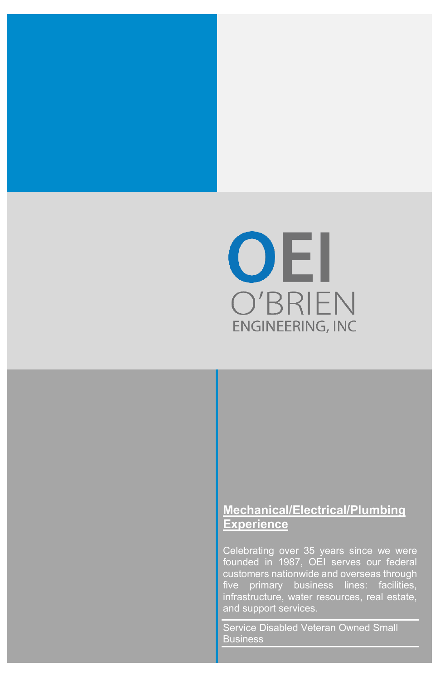

### **Mechanical/Electrical/Plumbing Experience**

Celebrating over 35 years since we were founded in 1987, OEI serves our federal customers nationwide and overseas through five primary business lines: facilities, infrastructure, water resources, real estate, and support services.

Service Disabled Veteran Owned Small Business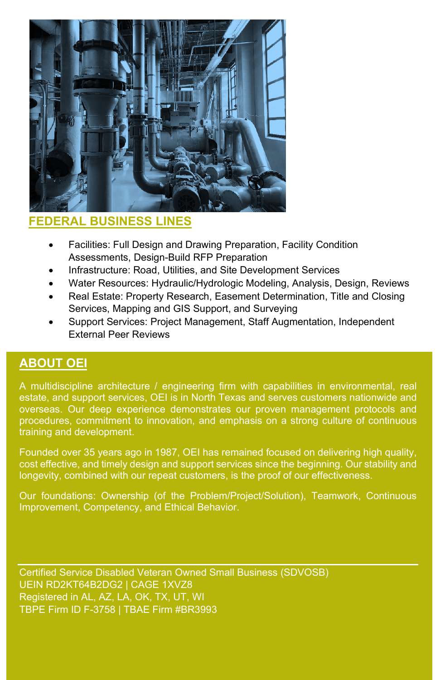

# **FEDERAL BUSINESS LINES**

- Facilities: Full Design and Drawing Preparation, Facility Condition Assessments, Design-Build RFP Preparation
- Infrastructure: Road, Utilities, and Site Development Services
- Water Resources: Hydraulic/Hydrologic Modeling, Analysis, Design, Reviews
- Real Estate: Property Research, Easement Determination, Title and Closing Services, Mapping and GIS Support, and Surveying
- Support Services: Project Management, Staff Augmentation, Independent External Peer Reviews

#### **ABOUT OEI**

A multidiscipline architecture / engineering firm with capabilities in environmental, real estate, and support services, OEI is in North Texas and serves customers nationwide and overseas. Our deep experience demonstrates our proven management protocols and procedures, commitment to innovation, and emphasis on a strong culture of continuous training and development.

Founded over 35 years ago in 1987, OEI has remained focused on delivering high quality, cost effective, and timely design and support services since the beginning. Our stability and longevity, combined with our repeat customers, is the proof of our effectiveness.

Our foundations: Ownership (of the Problem/Project/Solution), Teamwork, Continuous Improvement, Competency, and Ethical Behavior.

Certified Service Disabled Veteran Owned Small Business (SDVOSB) UEIN RD2KT64B2DG2 | CAGE 1XVZ8 Registered in AL, AZ, LA, OK, TX, UT, WI TBPE Firm ID F-3758 | TBAE Firm #BR3993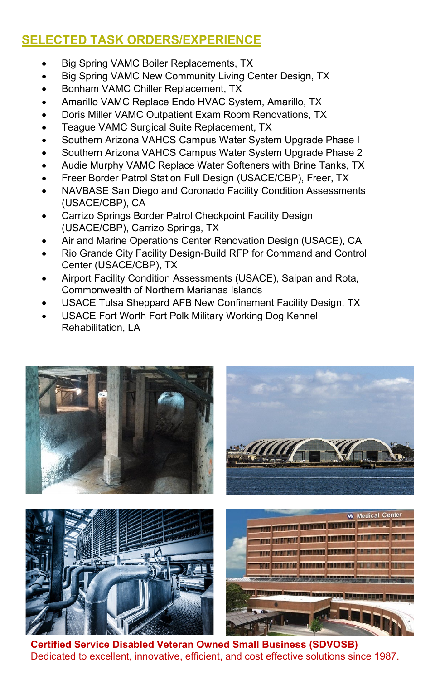# **SELECTED TASK ORDERS/EXPERIENCE**

- Big Spring VAMC Boiler Replacements, TX
- Big Spring VAMC New Community Living Center Design, TX
- Bonham VAMC Chiller Replacement, TX
- Amarillo VAMC Replace Endo HVAC System, Amarillo, TX
- Doris Miller VAMC Outpatient Exam Room Renovations, TX
- Teague VAMC Surgical Suite Replacement, TX
- Southern Arizona VAHCS Campus Water System Upgrade Phase I
- Southern Arizona VAHCS Campus Water System Upgrade Phase 2
- Audie Murphy VAMC Replace Water Softeners with Brine Tanks, TX
- Freer Border Patrol Station Full Design (USACE/CBP), Freer, TX
- NAVBASE San Diego and Coronado Facility Condition Assessments (USACE/CBP), CA
- Carrizo Springs Border Patrol Checkpoint Facility Design (USACE/CBP), Carrizo Springs, TX
- Air and Marine Operations Center Renovation Design (USACE), CA
- Rio Grande City Facility Design-Build RFP for Command and Control Center (USACE/CBP), TX
- Airport Facility Condition Assessments (USACE), Saipan and Rota, Commonwealth of Northern Marianas Islands
- USACE Tulsa Sheppard AFB New Confinement Facility Design, TX
- USACE Fort Worth Fort Polk Military Working Dog Kennel Rehabilitation, LA



 **Certified Service Disabled Veteran Owned Small Business (SDVOSB)** Dedicated to excellent, innovative, efficient, and cost effective solutions since 1987.